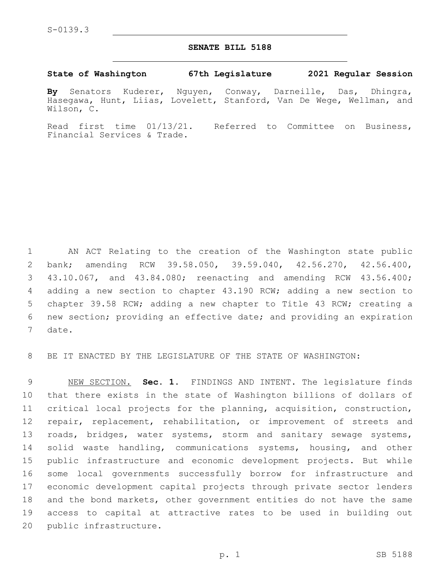## **SENATE BILL 5188**

## **State of Washington 67th Legislature 2021 Regular Session**

**By** Senators Kuderer, Nguyen, Conway, Darneille, Das, Dhingra, Hasegawa, Hunt, Liias, Lovelett, Stanford, Van De Wege, Wellman, and Wilson, C.

Read first time 01/13/21. Referred to Committee on Business, Financial Services & Trade.

 AN ACT Relating to the creation of the Washington state public bank; amending RCW 39.58.050, 39.59.040, 42.56.270, 42.56.400, 43.10.067, and 43.84.080; reenacting and amending RCW 43.56.400; adding a new section to chapter 43.190 RCW; adding a new section to chapter 39.58 RCW; adding a new chapter to Title 43 RCW; creating a new section; providing an effective date; and providing an expiration 7 date.

BE IT ENACTED BY THE LEGISLATURE OF THE STATE OF WASHINGTON:

 NEW SECTION. **Sec. 1.** FINDINGS AND INTENT. The legislature finds that there exists in the state of Washington billions of dollars of critical local projects for the planning, acquisition, construction, repair, replacement, rehabilitation, or improvement of streets and 13 roads, bridges, water systems, storm and sanitary sewage systems, solid waste handling, communications systems, housing, and other public infrastructure and economic development projects. But while some local governments successfully borrow for infrastructure and economic development capital projects through private sector lenders and the bond markets, other government entities do not have the same access to capital at attractive rates to be used in building out public infrastructure.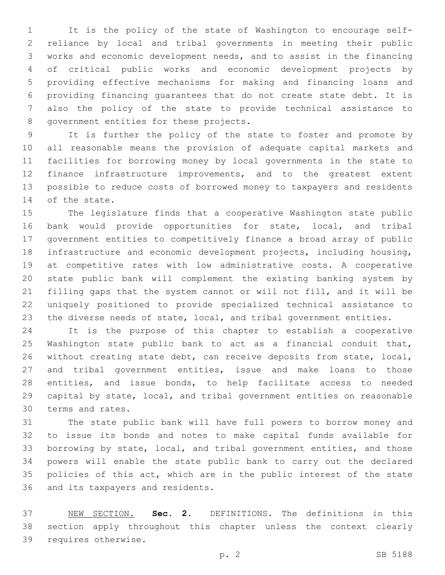It is the policy of the state of Washington to encourage self- reliance by local and tribal governments in meeting their public works and economic development needs, and to assist in the financing of critical public works and economic development projects by providing effective mechanisms for making and financing loans and providing financing guarantees that do not create state debt. It is also the policy of the state to provide technical assistance to 8 government entities for these projects.

 It is further the policy of the state to foster and promote by all reasonable means the provision of adequate capital markets and facilities for borrowing money by local governments in the state to finance infrastructure improvements, and to the greatest extent possible to reduce costs of borrowed money to taxpayers and residents 14 of the state.

 The legislature finds that a cooperative Washington state public bank would provide opportunities for state, local, and tribal government entities to competitively finance a broad array of public infrastructure and economic development projects, including housing, at competitive rates with low administrative costs. A cooperative state public bank will complement the existing banking system by filling gaps that the system cannot or will not fill, and it will be uniquely positioned to provide specialized technical assistance to 23 the diverse needs of state, local, and tribal government entities.

 It is the purpose of this chapter to establish a cooperative Washington state public bank to act as a financial conduit that, without creating state debt, can receive deposits from state, local, and tribal government entities, issue and make loans to those entities, and issue bonds, to help facilitate access to needed capital by state, local, and tribal government entities on reasonable 30 terms and rates.

 The state public bank will have full powers to borrow money and to issue its bonds and notes to make capital funds available for borrowing by state, local, and tribal government entities, and those powers will enable the state public bank to carry out the declared policies of this act, which are in the public interest of the state 36 and its taxpayers and residents.

 NEW SECTION. **Sec. 2.** DEFINITIONS. The definitions in this section apply throughout this chapter unless the context clearly requires otherwise.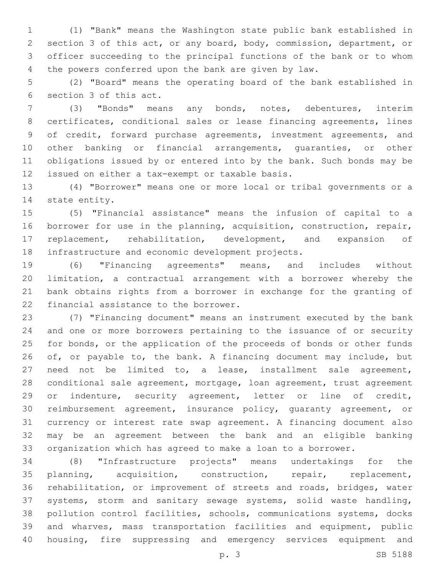(1) "Bank" means the Washington state public bank established in section 3 of this act, or any board, body, commission, department, or officer succeeding to the principal functions of the bank or to whom the powers conferred upon the bank are given by law.

 (2) "Board" means the operating board of the bank established in 6 section 3 of this act.

 (3) "Bonds" means any bonds, notes, debentures, interim certificates, conditional sales or lease financing agreements, lines of credit, forward purchase agreements, investment agreements, and other banking or financial arrangements, guaranties, or other obligations issued by or entered into by the bank. Such bonds may be 12 issued on either a tax-exempt or taxable basis.

 (4) "Borrower" means one or more local or tribal governments or a 14 state entity.

 (5) "Financial assistance" means the infusion of capital to a borrower for use in the planning, acquisition, construction, repair, replacement, rehabilitation, development, and expansion of 18 infrastructure and economic development projects.

 (6) "Financing agreements" means, and includes without limitation, a contractual arrangement with a borrower whereby the bank obtains rights from a borrower in exchange for the granting of 22 financial assistance to the borrower.

 (7) "Financing document" means an instrument executed by the bank and one or more borrowers pertaining to the issuance of or security for bonds, or the application of the proceeds of bonds or other funds 26 of, or payable to, the bank. A financing document may include, but need not be limited to, a lease, installment sale agreement, conditional sale agreement, mortgage, loan agreement, trust agreement or indenture, security agreement, letter or line of credit, reimbursement agreement, insurance policy, guaranty agreement, or currency or interest rate swap agreement. A financing document also may be an agreement between the bank and an eligible banking organization which has agreed to make a loan to a borrower.

 (8) "Infrastructure projects" means undertakings for the planning, acquisition, construction, repair, replacement, rehabilitation, or improvement of streets and roads, bridges, water systems, storm and sanitary sewage systems, solid waste handling, pollution control facilities, schools, communications systems, docks and wharves, mass transportation facilities and equipment, public housing, fire suppressing and emergency services equipment and

p. 3 SB 5188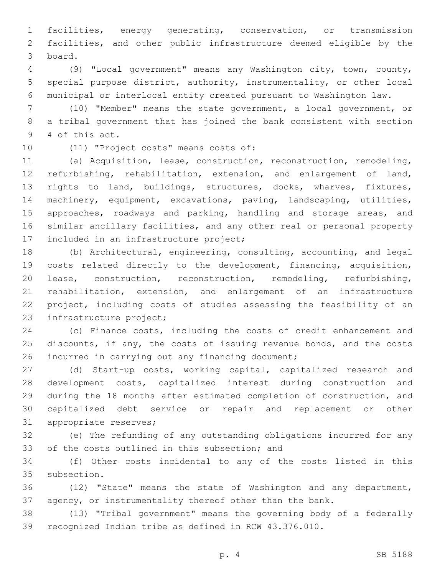facilities, energy generating, conservation, or transmission facilities, and other public infrastructure deemed eligible by the board.3

 (9) "Local government" means any Washington city, town, county, special purpose district, authority, instrumentality, or other local municipal or interlocal entity created pursuant to Washington law.

 (10) "Member" means the state government, a local government, or a tribal government that has joined the bank consistent with section 9 4 of this act.

10 (11) "Project costs" means costs of:

 (a) Acquisition, lease, construction, reconstruction, remodeling, refurbishing, rehabilitation, extension, and enlargement of land, rights to land, buildings, structures, docks, wharves, fixtures, machinery, equipment, excavations, paving, landscaping, utilities, 15 approaches, roadways and parking, handling and storage areas, and similar ancillary facilities, and any other real or personal property 17 included in an infrastructure project;

 (b) Architectural, engineering, consulting, accounting, and legal costs related directly to the development, financing, acquisition, lease, construction, reconstruction, remodeling, refurbishing, rehabilitation, extension, and enlargement of an infrastructure project, including costs of studies assessing the feasibility of an 23 infrastructure project;

 (c) Finance costs, including the costs of credit enhancement and discounts, if any, the costs of issuing revenue bonds, and the costs 26 incurred in carrying out any financing document;

 (d) Start-up costs, working capital, capitalized research and development costs, capitalized interest during construction and during the 18 months after estimated completion of construction, and capitalized debt service or repair and replacement or other 31 appropriate reserves;

 (e) The refunding of any outstanding obligations incurred for any 33 of the costs outlined in this subsection; and

 (f) Other costs incidental to any of the costs listed in this 35 subsection.

 (12) "State" means the state of Washington and any department, agency, or instrumentality thereof other than the bank.

 (13) "Tribal government" means the governing body of a federally recognized Indian tribe as defined in RCW 43.376.010.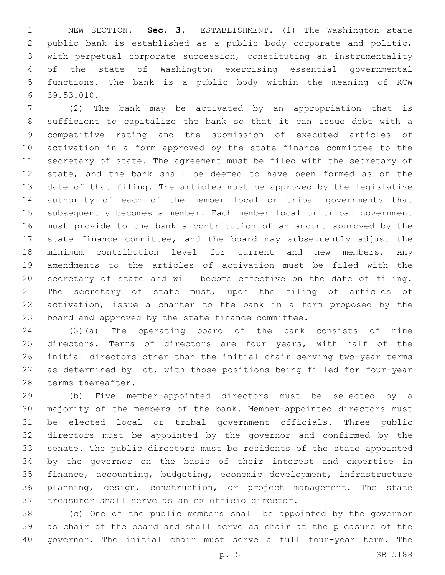NEW SECTION. **Sec. 3.** ESTABLISHMENT. (1) The Washington state public bank is established as a public body corporate and politic, with perpetual corporate succession, constituting an instrumentality of the state of Washington exercising essential governmental functions. The bank is a public body within the meaning of RCW 39.53.010.

 (2) The bank may be activated by an appropriation that is sufficient to capitalize the bank so that it can issue debt with a competitive rating and the submission of executed articles of activation in a form approved by the state finance committee to the secretary of state. The agreement must be filed with the secretary of state, and the bank shall be deemed to have been formed as of the date of that filing. The articles must be approved by the legislative authority of each of the member local or tribal governments that subsequently becomes a member. Each member local or tribal government must provide to the bank a contribution of an amount approved by the state finance committee, and the board may subsequently adjust the minimum contribution level for current and new members. Any amendments to the articles of activation must be filed with the secretary of state and will become effective on the date of filing. 21 The secretary of state must, upon the filing of articles of activation, issue a charter to the bank in a form proposed by the board and approved by the state finance committee.

 (3)(a) The operating board of the bank consists of nine directors. Terms of directors are four years, with half of the initial directors other than the initial chair serving two-year terms as determined by lot, with those positions being filled for four-year 28 terms thereafter.

 (b) Five member-appointed directors must be selected by a majority of the members of the bank. Member-appointed directors must be elected local or tribal government officials. Three public directors must be appointed by the governor and confirmed by the senate. The public directors must be residents of the state appointed by the governor on the basis of their interest and expertise in finance, accounting, budgeting, economic development, infrastructure planning, design, construction, or project management. The state 37 treasurer shall serve as an ex officio director.

 (c) One of the public members shall be appointed by the governor as chair of the board and shall serve as chair at the pleasure of the governor. The initial chair must serve a full four-year term. The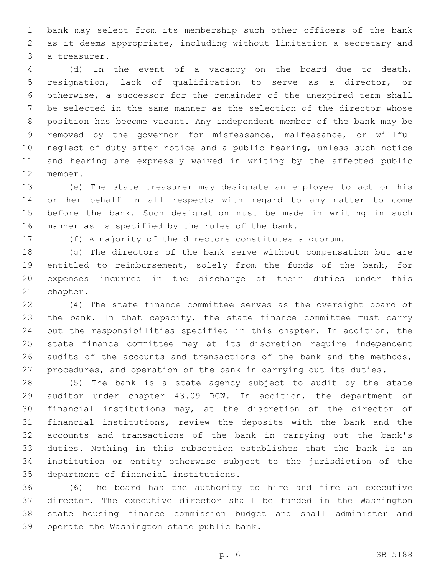bank may select from its membership such other officers of the bank as it deems appropriate, including without limitation a secretary and 3 a treasurer.

 (d) In the event of a vacancy on the board due to death, resignation, lack of qualification to serve as a director, or otherwise, a successor for the remainder of the unexpired term shall be selected in the same manner as the selection of the director whose position has become vacant. Any independent member of the bank may be removed by the governor for misfeasance, malfeasance, or willful neglect of duty after notice and a public hearing, unless such notice and hearing are expressly waived in writing by the affected public 12 member.

 (e) The state treasurer may designate an employee to act on his or her behalf in all respects with regard to any matter to come before the bank. Such designation must be made in writing in such 16 manner as is specified by the rules of the bank.

(f) A majority of the directors constitutes a quorum.

 (g) The directors of the bank serve without compensation but are entitled to reimbursement, solely from the funds of the bank, for expenses incurred in the discharge of their duties under this 21 chapter.

 (4) The state finance committee serves as the oversight board of 23 the bank. In that capacity, the state finance committee must carry out the responsibilities specified in this chapter. In addition, the state finance committee may at its discretion require independent audits of the accounts and transactions of the bank and the methods, procedures, and operation of the bank in carrying out its duties.

 (5) The bank is a state agency subject to audit by the state auditor under chapter 43.09 RCW. In addition, the department of financial institutions may, at the discretion of the director of financial institutions, review the deposits with the bank and the accounts and transactions of the bank in carrying out the bank's duties. Nothing in this subsection establishes that the bank is an institution or entity otherwise subject to the jurisdiction of the 35 department of financial institutions.

 (6) The board has the authority to hire and fire an executive director. The executive director shall be funded in the Washington state housing finance commission budget and shall administer and 39 operate the Washington state public bank.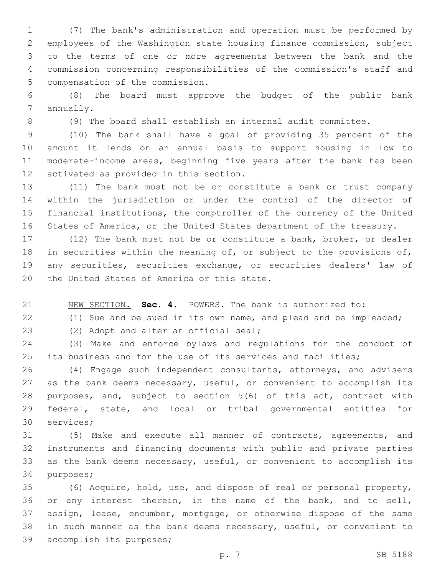(7) The bank's administration and operation must be performed by employees of the Washington state housing finance commission, subject to the terms of one or more agreements between the bank and the commission concerning responsibilities of the commission's staff and 5 compensation of the commission.

 (8) The board must approve the budget of the public bank 7 annually.

(9) The board shall establish an internal audit committee.

 (10) The bank shall have a goal of providing 35 percent of the amount it lends on an annual basis to support housing in low to moderate-income areas, beginning five years after the bank has been 12 activated as provided in this section.

 (11) The bank must not be or constitute a bank or trust company within the jurisdiction or under the control of the director of financial institutions, the comptroller of the currency of the United States of America, or the United States department of the treasury.

 (12) The bank must not be or constitute a bank, broker, or dealer 18 in securities within the meaning of, or subject to the provisions of, any securities, securities exchange, or securities dealers' law of 20 the United States of America or this state.

NEW SECTION. **Sec. 4.** POWERS. The bank is authorized to:

(1) Sue and be sued in its own name, and plead and be impleaded;

23 (2) Adopt and alter an official seal;

 (3) Make and enforce bylaws and regulations for the conduct of its business and for the use of its services and facilities;

 (4) Engage such independent consultants, attorneys, and advisers 27 as the bank deems necessary, useful, or convenient to accomplish its purposes, and, subject to section 5(6) of this act, contract with federal, state, and local or tribal governmental entities for 30 services;

 (5) Make and execute all manner of contracts, agreements, and instruments and financing documents with public and private parties as the bank deems necessary, useful, or convenient to accomplish its 34 purposes;

 (6) Acquire, hold, use, and dispose of real or personal property, or any interest therein, in the name of the bank, and to sell, assign, lease, encumber, mortgage, or otherwise dispose of the same in such manner as the bank deems necessary, useful, or convenient to 39 accomplish its purposes;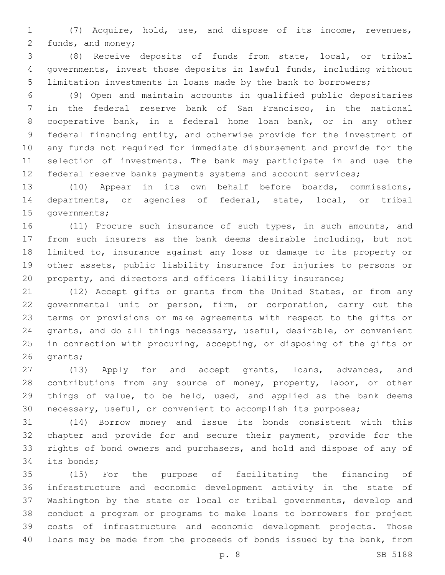(7) Acquire, hold, use, and dispose of its income, revenues, 2 funds, and money;

 (8) Receive deposits of funds from state, local, or tribal governments, invest those deposits in lawful funds, including without limitation investments in loans made by the bank to borrowers;

 (9) Open and maintain accounts in qualified public depositaries in the federal reserve bank of San Francisco, in the national cooperative bank, in a federal home loan bank, or in any other federal financing entity, and otherwise provide for the investment of any funds not required for immediate disbursement and provide for the selection of investments. The bank may participate in and use the 12 federal reserve banks payments systems and account services;

 (10) Appear in its own behalf before boards, commissions, departments, or agencies of federal, state, local, or tribal 15 governments;

 (11) Procure such insurance of such types, in such amounts, and from such insurers as the bank deems desirable including, but not limited to, insurance against any loss or damage to its property or other assets, public liability insurance for injuries to persons or property, and directors and officers liability insurance;

 (12) Accept gifts or grants from the United States, or from any governmental unit or person, firm, or corporation, carry out the terms or provisions or make agreements with respect to the gifts or grants, and do all things necessary, useful, desirable, or convenient in connection with procuring, accepting, or disposing of the gifts or 26 qrants;

 (13) Apply for and accept grants, loans, advances, and 28 contributions from any source of money, property, labor, or other things of value, to be held, used, and applied as the bank deems necessary, useful, or convenient to accomplish its purposes;

 (14) Borrow money and issue its bonds consistent with this chapter and provide for and secure their payment, provide for the rights of bond owners and purchasers, and hold and dispose of any of 34 its bonds;

 (15) For the purpose of facilitating the financing of infrastructure and economic development activity in the state of Washington by the state or local or tribal governments, develop and conduct a program or programs to make loans to borrowers for project costs of infrastructure and economic development projects. Those loans may be made from the proceeds of bonds issued by the bank, from

p. 8 SB 5188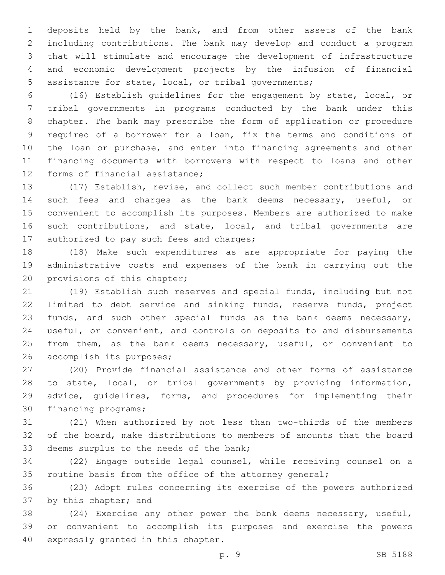deposits held by the bank, and from other assets of the bank including contributions. The bank may develop and conduct a program that will stimulate and encourage the development of infrastructure and economic development projects by the infusion of financial assistance for state, local, or tribal governments;

 (16) Establish guidelines for the engagement by state, local, or tribal governments in programs conducted by the bank under this chapter. The bank may prescribe the form of application or procedure required of a borrower for a loan, fix the terms and conditions of the loan or purchase, and enter into financing agreements and other financing documents with borrowers with respect to loans and other 12 forms of financial assistance;

 (17) Establish, revise, and collect such member contributions and such fees and charges as the bank deems necessary, useful, or convenient to accomplish its purposes. Members are authorized to make such contributions, and state, local, and tribal governments are 17 authorized to pay such fees and charges;

 (18) Make such expenditures as are appropriate for paying the administrative costs and expenses of the bank in carrying out the 20 provisions of this chapter;

 (19) Establish such reserves and special funds, including but not limited to debt service and sinking funds, reserve funds, project funds, and such other special funds as the bank deems necessary, useful, or convenient, and controls on deposits to and disbursements 25 from them, as the bank deems necessary, useful, or convenient to 26 accomplish its purposes;

 (20) Provide financial assistance and other forms of assistance to state, local, or tribal governments by providing information, advice, guidelines, forms, and procedures for implementing their 30 financing programs;

 (21) When authorized by not less than two-thirds of the members of the board, make distributions to members of amounts that the board 33 deems surplus to the needs of the bank;

 (22) Engage outside legal counsel, while receiving counsel on a 35 routine basis from the office of the attorney general;

 (23) Adopt rules concerning its exercise of the powers authorized 37 by this chapter; and

 (24) Exercise any other power the bank deems necessary, useful, or convenient to accomplish its purposes and exercise the powers 40 expressly granted in this chapter.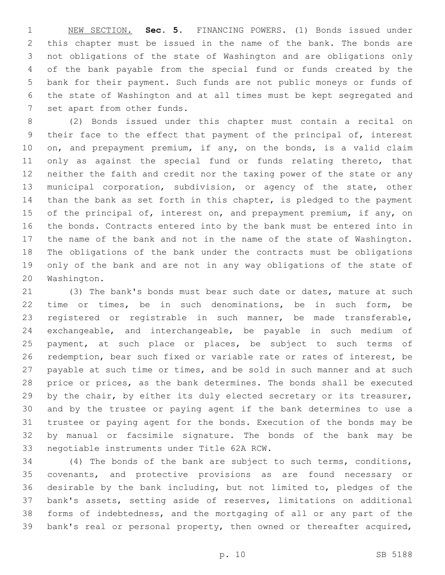NEW SECTION. **Sec. 5.** FINANCING POWERS. (1) Bonds issued under this chapter must be issued in the name of the bank. The bonds are not obligations of the state of Washington and are obligations only of the bank payable from the special fund or funds created by the bank for their payment. Such funds are not public moneys or funds of the state of Washington and at all times must be kept segregated and set apart from other funds.

 (2) Bonds issued under this chapter must contain a recital on their face to the effect that payment of the principal of, interest on, and prepayment premium, if any, on the bonds, is a valid claim 11 only as against the special fund or funds relating thereto, that neither the faith and credit nor the taxing power of the state or any municipal corporation, subdivision, or agency of the state, other than the bank as set forth in this chapter, is pledged to the payment 15 of the principal of, interest on, and prepayment premium, if any, on the bonds. Contracts entered into by the bank must be entered into in the name of the bank and not in the name of the state of Washington. The obligations of the bank under the contracts must be obligations only of the bank and are not in any way obligations of the state of 20 Washington.

 (3) The bank's bonds must bear such date or dates, mature at such time or times, be in such denominations, be in such form, be registered or registrable in such manner, be made transferable, exchangeable, and interchangeable, be payable in such medium of payment, at such place or places, be subject to such terms of redemption, bear such fixed or variable rate or rates of interest, be 27 payable at such time or times, and be sold in such manner and at such price or prices, as the bank determines. The bonds shall be executed 29 by the chair, by either its duly elected secretary or its treasurer, and by the trustee or paying agent if the bank determines to use a trustee or paying agent for the bonds. Execution of the bonds may be by manual or facsimile signature. The bonds of the bank may be 33 negotiable instruments under Title 62A RCW.

 (4) The bonds of the bank are subject to such terms, conditions, covenants, and protective provisions as are found necessary or desirable by the bank including, but not limited to, pledges of the bank's assets, setting aside of reserves, limitations on additional forms of indebtedness, and the mortgaging of all or any part of the bank's real or personal property, then owned or thereafter acquired,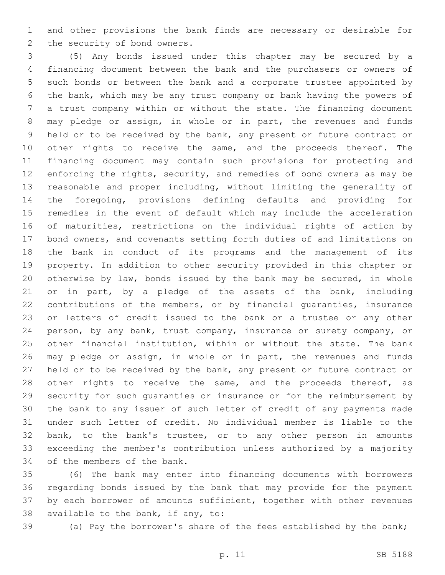and other provisions the bank finds are necessary or desirable for 2 the security of bond owners.

 (5) Any bonds issued under this chapter may be secured by a financing document between the bank and the purchasers or owners of such bonds or between the bank and a corporate trustee appointed by the bank, which may be any trust company or bank having the powers of a trust company within or without the state. The financing document may pledge or assign, in whole or in part, the revenues and funds held or to be received by the bank, any present or future contract or 10 other rights to receive the same, and the proceeds thereof. The financing document may contain such provisions for protecting and enforcing the rights, security, and remedies of bond owners as may be reasonable and proper including, without limiting the generality of the foregoing, provisions defining defaults and providing for remedies in the event of default which may include the acceleration of maturities, restrictions on the individual rights of action by bond owners, and covenants setting forth duties of and limitations on the bank in conduct of its programs and the management of its property. In addition to other security provided in this chapter or otherwise by law, bonds issued by the bank may be secured, in whole 21 or in part, by a pledge of the assets of the bank, including contributions of the members, or by financial guaranties, insurance or letters of credit issued to the bank or a trustee or any other person, by any bank, trust company, insurance or surety company, or other financial institution, within or without the state. The bank may pledge or assign, in whole or in part, the revenues and funds held or to be received by the bank, any present or future contract or 28 other rights to receive the same, and the proceeds thereof, as security for such guaranties or insurance or for the reimbursement by the bank to any issuer of such letter of credit of any payments made under such letter of credit. No individual member is liable to the bank, to the bank's trustee, or to any other person in amounts exceeding the member's contribution unless authorized by a majority 34 of the members of the bank.

 (6) The bank may enter into financing documents with borrowers regarding bonds issued by the bank that may provide for the payment by each borrower of amounts sufficient, together with other revenues 38 available to the bank, if any, to:

(a) Pay the borrower's share of the fees established by the bank;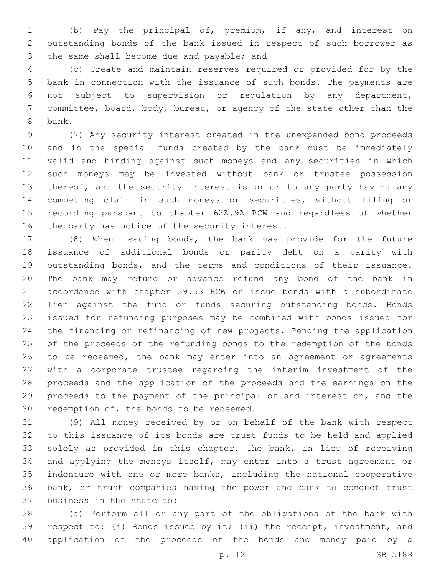(b) Pay the principal of, premium, if any, and interest on outstanding bonds of the bank issued in respect of such borrower as 3 the same shall become due and payable; and

 (c) Create and maintain reserves required or provided for by the bank in connection with the issuance of such bonds. The payments are not subject to supervision or regulation by any department, committee, board, body, bureau, or agency of the state other than the 8 bank.

 (7) Any security interest created in the unexpended bond proceeds and in the special funds created by the bank must be immediately valid and binding against such moneys and any securities in which such moneys may be invested without bank or trustee possession thereof, and the security interest is prior to any party having any competing claim in such moneys or securities, without filing or recording pursuant to chapter 62A.9A RCW and regardless of whether 16 the party has notice of the security interest.

 (8) When issuing bonds, the bank may provide for the future issuance of additional bonds or parity debt on a parity with outstanding bonds, and the terms and conditions of their issuance. The bank may refund or advance refund any bond of the bank in accordance with chapter 39.53 RCW or issue bonds with a subordinate lien against the fund or funds securing outstanding bonds. Bonds issued for refunding purposes may be combined with bonds issued for the financing or refinancing of new projects. Pending the application of the proceeds of the refunding bonds to the redemption of the bonds to be redeemed, the bank may enter into an agreement or agreements with a corporate trustee regarding the interim investment of the proceeds and the application of the proceeds and the earnings on the proceeds to the payment of the principal of and interest on, and the 30 redemption of, the bonds to be redeemed.

 (9) All money received by or on behalf of the bank with respect to this issuance of its bonds are trust funds to be held and applied solely as provided in this chapter. The bank, in lieu of receiving and applying the moneys itself, may enter into a trust agreement or indenture with one or more banks, including the national cooperative bank, or trust companies having the power and bank to conduct trust 37 business in the state to:

 (a) Perform all or any part of the obligations of the bank with respect to: (i) Bonds issued by it; (ii) the receipt, investment, and application of the proceeds of the bonds and money paid by a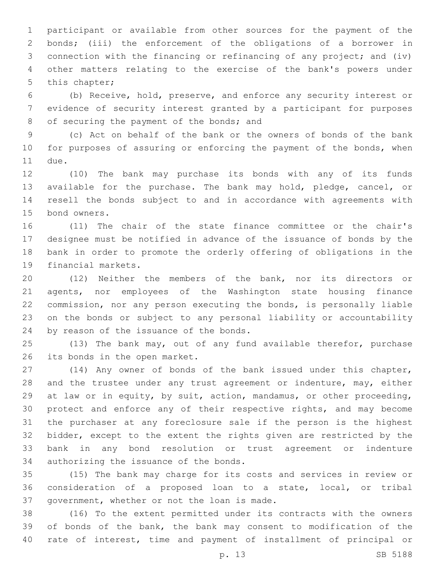participant or available from other sources for the payment of the bonds; (iii) the enforcement of the obligations of a borrower in connection with the financing or refinancing of any project; and (iv) other matters relating to the exercise of the bank's powers under 5 this chapter;

 (b) Receive, hold, preserve, and enforce any security interest or evidence of security interest granted by a participant for purposes 8 of securing the payment of the bonds; and

 (c) Act on behalf of the bank or the owners of bonds of the bank for purposes of assuring or enforcing the payment of the bonds, when 11 due.

 (10) The bank may purchase its bonds with any of its funds available for the purchase. The bank may hold, pledge, cancel, or resell the bonds subject to and in accordance with agreements with 15 bond owners.

 (11) The chair of the state finance committee or the chair's designee must be notified in advance of the issuance of bonds by the bank in order to promote the orderly offering of obligations in the 19 financial markets.

 (12) Neither the members of the bank, nor its directors or agents, nor employees of the Washington state housing finance commission, nor any person executing the bonds, is personally liable on the bonds or subject to any personal liability or accountability 24 by reason of the issuance of the bonds.

 (13) The bank may, out of any fund available therefor, purchase 26 its bonds in the open market.

 (14) Any owner of bonds of the bank issued under this chapter, 28 and the trustee under any trust agreement or indenture, may, either at law or in equity, by suit, action, mandamus, or other proceeding, protect and enforce any of their respective rights, and may become the purchaser at any foreclosure sale if the person is the highest bidder, except to the extent the rights given are restricted by the bank in any bond resolution or trust agreement or indenture 34 authorizing the issuance of the bonds.

 (15) The bank may charge for its costs and services in review or consideration of a proposed loan to a state, local, or tribal 37 government, whether or not the loan is made.

 (16) To the extent permitted under its contracts with the owners of bonds of the bank, the bank may consent to modification of the rate of interest, time and payment of installment of principal or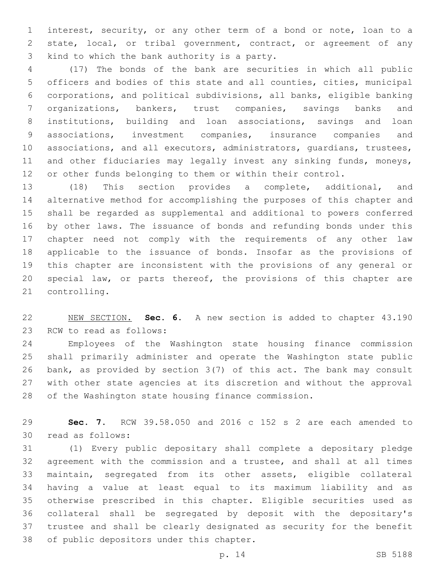interest, security, or any other term of a bond or note, loan to a state, local, or tribal government, contract, or agreement of any 3 kind to which the bank authority is a party.

 (17) The bonds of the bank are securities in which all public officers and bodies of this state and all counties, cities, municipal corporations, and political subdivisions, all banks, eligible banking organizations, bankers, trust companies, savings banks and institutions, building and loan associations, savings and loan associations, investment companies, insurance companies and associations, and all executors, administrators, guardians, trustees, 11 and other fiduciaries may legally invest any sinking funds, moneys, or other funds belonging to them or within their control.

 (18) This section provides a complete, additional, and alternative method for accomplishing the purposes of this chapter and shall be regarded as supplemental and additional to powers conferred by other laws. The issuance of bonds and refunding bonds under this chapter need not comply with the requirements of any other law applicable to the issuance of bonds. Insofar as the provisions of this chapter are inconsistent with the provisions of any general or special law, or parts thereof, the provisions of this chapter are 21 controlling.

 NEW SECTION. **Sec. 6.** A new section is added to chapter 43.190 23 RCW to read as follows:

 Employees of the Washington state housing finance commission shall primarily administer and operate the Washington state public bank, as provided by section 3(7) of this act. The bank may consult with other state agencies at its discretion and without the approval of the Washington state housing finance commission.

 **Sec. 7.** RCW 39.58.050 and 2016 c 152 s 2 are each amended to 30 read as follows:

 (1) Every public depositary shall complete a depositary pledge agreement with the commission and a trustee, and shall at all times maintain, segregated from its other assets, eligible collateral having a value at least equal to its maximum liability and as otherwise prescribed in this chapter. Eligible securities used as collateral shall be segregated by deposit with the depositary's trustee and shall be clearly designated as security for the benefit 38 of public depositors under this chapter.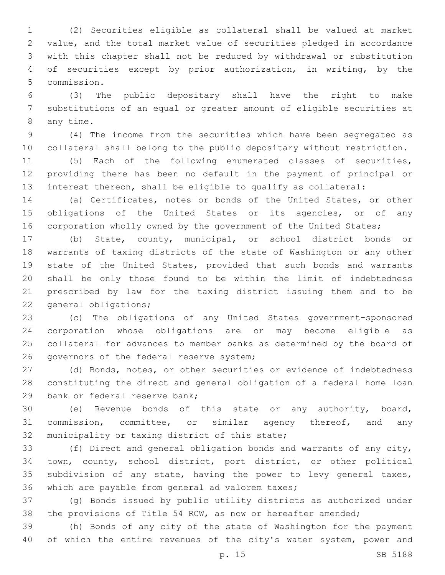(2) Securities eligible as collateral shall be valued at market value, and the total market value of securities pledged in accordance with this chapter shall not be reduced by withdrawal or substitution of securities except by prior authorization, in writing, by the 5 commission.

 (3) The public depositary shall have the right to make substitutions of an equal or greater amount of eligible securities at 8 any time.

 (4) The income from the securities which have been segregated as collateral shall belong to the public depositary without restriction.

 (5) Each of the following enumerated classes of securities, providing there has been no default in the payment of principal or interest thereon, shall be eligible to qualify as collateral:

 (a) Certificates, notes or bonds of the United States, or other 15 obligations of the United States or its agencies, or of any 16 corporation wholly owned by the government of the United States;

 (b) State, county, municipal, or school district bonds or warrants of taxing districts of the state of Washington or any other state of the United States, provided that such bonds and warrants shall be only those found to be within the limit of indebtedness prescribed by law for the taxing district issuing them and to be 22 general obligations;

 (c) The obligations of any United States government-sponsored corporation whose obligations are or may become eligible as collateral for advances to member banks as determined by the board of 26 governors of the federal reserve system;

 (d) Bonds, notes, or other securities or evidence of indebtedness constituting the direct and general obligation of a federal home loan 29 bank or federal reserve bank;

 (e) Revenue bonds of this state or any authority, board, commission, committee, or similar agency thereof, and any 32 municipality or taxing district of this state;

 (f) Direct and general obligation bonds and warrants of any city, town, county, school district, port district, or other political subdivision of any state, having the power to levy general taxes, 36 which are payable from general ad valorem taxes;

 (g) Bonds issued by public utility districts as authorized under the provisions of Title 54 RCW, as now or hereafter amended;

 (h) Bonds of any city of the state of Washington for the payment 40 of which the entire revenues of the city's water system, power and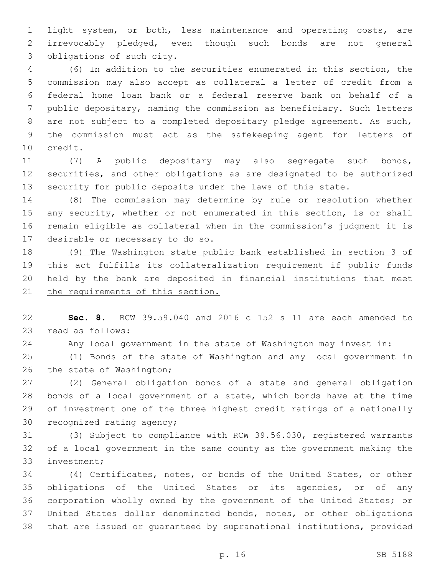light system, or both, less maintenance and operating costs, are irrevocably pledged, even though such bonds are not general 3 obligations of such city.

 (6) In addition to the securities enumerated in this section, the commission may also accept as collateral a letter of credit from a federal home loan bank or a federal reserve bank on behalf of a public depositary, naming the commission as beneficiary. Such letters are not subject to a completed depositary pledge agreement. As such, the commission must act as the safekeeping agent for letters of 10 credit.

 (7) A public depositary may also segregate such bonds, securities, and other obligations as are designated to be authorized security for public deposits under the laws of this state.

 (8) The commission may determine by rule or resolution whether 15 any security, whether or not enumerated in this section, is or shall remain eligible as collateral when in the commission's judgment it is 17 desirable or necessary to do so.

 (9) The Washington state public bank established in section 3 of this act fulfills its collateralization requirement if public funds held by the bank are deposited in financial institutions that meet 21 the requirements of this section.

 **Sec. 8.** RCW 39.59.040 and 2016 c 152 s 11 are each amended to 23 read as follows:

Any local government in the state of Washington may invest in:

 (1) Bonds of the state of Washington and any local government in 26 the state of Washington;

 (2) General obligation bonds of a state and general obligation bonds of a local government of a state, which bonds have at the time of investment one of the three highest credit ratings of a nationally 30 recognized rating agency;

 (3) Subject to compliance with RCW 39.56.030, registered warrants of a local government in the same county as the government making the 33 investment;

 (4) Certificates, notes, or bonds of the United States, or other obligations of the United States or its agencies, or of any corporation wholly owned by the government of the United States; or United States dollar denominated bonds, notes, or other obligations that are issued or guaranteed by supranational institutions, provided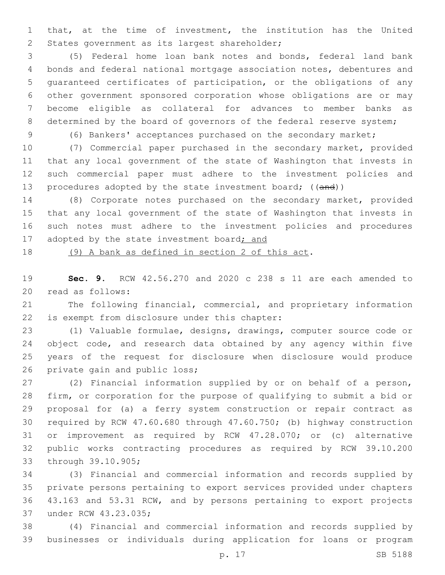that, at the time of investment, the institution has the United 2 States government as its largest shareholder;

 (5) Federal home loan bank notes and bonds, federal land bank bonds and federal national mortgage association notes, debentures and guaranteed certificates of participation, or the obligations of any other government sponsored corporation whose obligations are or may become eligible as collateral for advances to member banks as 8 determined by the board of governors of the federal reserve system;

(6) Bankers' acceptances purchased on the secondary market;

 (7) Commercial paper purchased in the secondary market, provided that any local government of the state of Washington that invests in such commercial paper must adhere to the investment policies and 13 procedures adopted by the state investment board; ((and))

 (8) Corporate notes purchased on the secondary market, provided that any local government of the state of Washington that invests in such notes must adhere to the investment policies and procedures 17 adopted by the state investment board; and

(9) A bank as defined in section 2 of this act.

 **Sec. 9.** RCW 42.56.270 and 2020 c 238 s 11 are each amended to 20 read as follows:

 The following financial, commercial, and proprietary information 22 is exempt from disclosure under this chapter:

 (1) Valuable formulae, designs, drawings, computer source code or 24 object code, and research data obtained by any agency within five years of the request for disclosure when disclosure would produce 26 private gain and public loss;

 (2) Financial information supplied by or on behalf of a person, firm, or corporation for the purpose of qualifying to submit a bid or proposal for (a) a ferry system construction or repair contract as required by RCW 47.60.680 through 47.60.750; (b) highway construction or improvement as required by RCW 47.28.070; or (c) alternative public works contracting procedures as required by RCW 39.10.200 33 through 39.10.905;

 (3) Financial and commercial information and records supplied by private persons pertaining to export services provided under chapters 43.163 and 53.31 RCW, and by persons pertaining to export projects 37 under RCW 43.23.035;

 (4) Financial and commercial information and records supplied by businesses or individuals during application for loans or program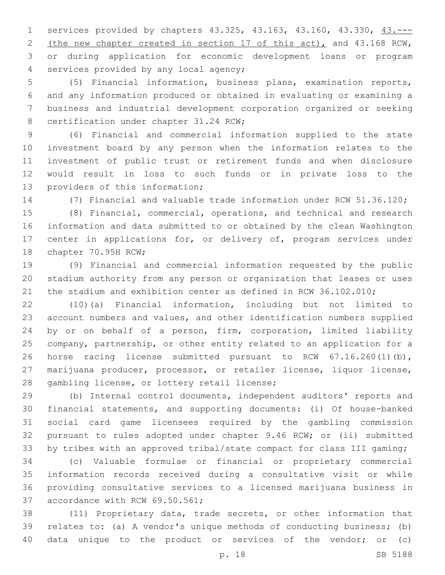services provided by chapters 43.325, 43.163, 43.160, 43.330, 43.--- (the new chapter created in section 17 of this act), and 43.168 RCW, or during application for economic development loans or program 4 services provided by any local agency;

 (5) Financial information, business plans, examination reports, and any information produced or obtained in evaluating or examining a business and industrial development corporation organized or seeking 8 certification under chapter 31.24 RCW;

 (6) Financial and commercial information supplied to the state investment board by any person when the information relates to the investment of public trust or retirement funds and when disclosure would result in loss to such funds or in private loss to the 13 providers of this information;

(7) Financial and valuable trade information under RCW 51.36.120;

 (8) Financial, commercial, operations, and technical and research information and data submitted to or obtained by the clean Washington center in applications for, or delivery of, program services under 18 chapter 70.95H RCW;

 (9) Financial and commercial information requested by the public stadium authority from any person or organization that leases or uses the stadium and exhibition center as defined in RCW 36.102.010;

 (10)(a) Financial information, including but not limited to account numbers and values, and other identification numbers supplied by or on behalf of a person, firm, corporation, limited liability company, partnership, or other entity related to an application for a horse racing license submitted pursuant to RCW 67.16.260(1)(b), marijuana producer, processor, or retailer license, liquor license, 28 gambling license, or lottery retail license;

 (b) Internal control documents, independent auditors' reports and financial statements, and supporting documents: (i) Of house-banked social card game licensees required by the gambling commission pursuant to rules adopted under chapter 9.46 RCW; or (ii) submitted by tribes with an approved tribal/state compact for class III gaming;

 (c) Valuable formulae or financial or proprietary commercial information records received during a consultative visit or while providing consultative services to a licensed marijuana business in 37 accordance with RCW 69.50.561;

 (11) Proprietary data, trade secrets, or other information that relates to: (a) A vendor's unique methods of conducting business; (b) data unique to the product or services of the vendor; or (c)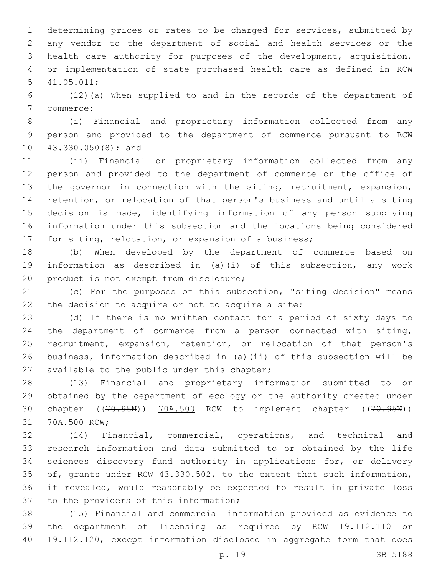determining prices or rates to be charged for services, submitted by any vendor to the department of social and health services or the health care authority for purposes of the development, acquisition, or implementation of state purchased health care as defined in RCW 41.05.011;5

 (12)(a) When supplied to and in the records of the department of 7 commerce:

 (i) Financial and proprietary information collected from any person and provided to the department of commerce pursuant to RCW 10 43.330.050(8); and

 (ii) Financial or proprietary information collected from any person and provided to the department of commerce or the office of the governor in connection with the siting, recruitment, expansion, retention, or relocation of that person's business and until a siting decision is made, identifying information of any person supplying information under this subsection and the locations being considered for siting, relocation, or expansion of a business;

 (b) When developed by the department of commerce based on information as described in (a)(i) of this subsection, any work 20 product is not exempt from disclosure;

 (c) For the purposes of this subsection, "siting decision" means 22 the decision to acquire or not to acquire a site;

 (d) If there is no written contact for a period of sixty days to the department of commerce from a person connected with siting, recruitment, expansion, retention, or relocation of that person's business, information described in (a)(ii) of this subsection will be 27 available to the public under this chapter;

 (13) Financial and proprietary information submitted to or obtained by the department of ecology or the authority created under 30 chapter ((70.95N)) 70A.500 RCW to implement chapter ((70.95N)) 31 70A.500 RCW;

 (14) Financial, commercial, operations, and technical and research information and data submitted to or obtained by the life sciences discovery fund authority in applications for, or delivery of, grants under RCW 43.330.502, to the extent that such information, if revealed, would reasonably be expected to result in private loss 37 to the providers of this information;

 (15) Financial and commercial information provided as evidence to the department of licensing as required by RCW 19.112.110 or 19.112.120, except information disclosed in aggregate form that does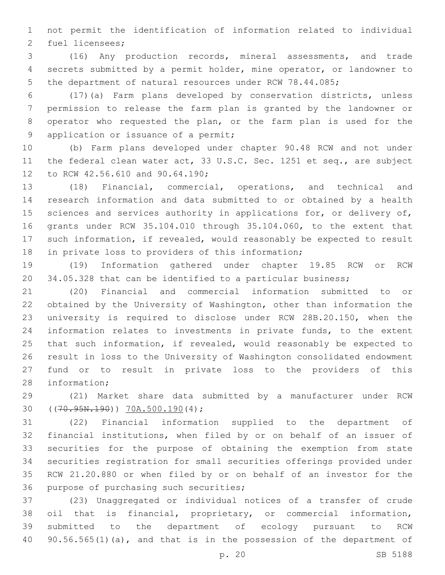not permit the identification of information related to individual 2 fuel licensees;

 (16) Any production records, mineral assessments, and trade secrets submitted by a permit holder, mine operator, or landowner to the department of natural resources under RCW 78.44.085;

 (17)(a) Farm plans developed by conservation districts, unless permission to release the farm plan is granted by the landowner or operator who requested the plan, or the farm plan is used for the 9 application or issuance of a permit;

 (b) Farm plans developed under chapter 90.48 RCW and not under the federal clean water act, 33 U.S.C. Sec. 1251 et seq., are subject 12 to RCW 42.56.610 and 90.64.190;

 (18) Financial, commercial, operations, and technical and research information and data submitted to or obtained by a health 15 sciences and services authority in applications for, or delivery of, grants under RCW 35.104.010 through 35.104.060, to the extent that such information, if revealed, would reasonably be expected to result 18 in private loss to providers of this information;

 (19) Information gathered under chapter 19.85 RCW or RCW 34.05.328 that can be identified to a particular business;

 (20) Financial and commercial information submitted to or obtained by the University of Washington, other than information the university is required to disclose under RCW 28B.20.150, when the information relates to investments in private funds, to the extent that such information, if revealed, would reasonably be expected to result in loss to the University of Washington consolidated endowment fund or to result in private loss to the providers of this 28 information;

 (21) Market share data submitted by a manufacturer under RCW 30 ((70.95N.190)) 70A.500.190(4);

 (22) Financial information supplied to the department of financial institutions, when filed by or on behalf of an issuer of securities for the purpose of obtaining the exemption from state securities registration for small securities offerings provided under RCW 21.20.880 or when filed by or on behalf of an investor for the 36 purpose of purchasing such securities;

 (23) Unaggregated or individual notices of a transfer of crude oil that is financial, proprietary, or commercial information, submitted to the department of ecology pursuant to RCW 40 90.56.565(1)(a), and that is in the possession of the department of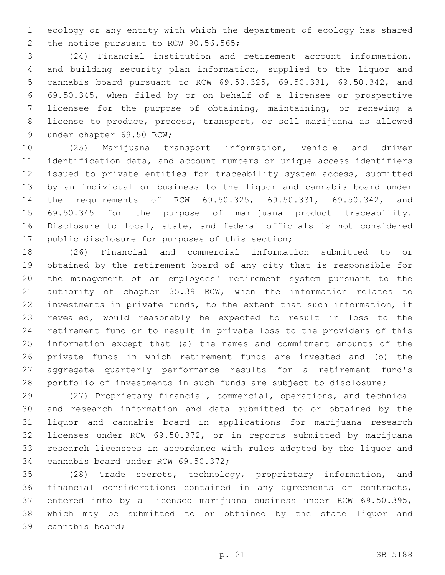ecology or any entity with which the department of ecology has shared 2 the notice pursuant to RCW 90.56.565;

 (24) Financial institution and retirement account information, and building security plan information, supplied to the liquor and cannabis board pursuant to RCW 69.50.325, 69.50.331, 69.50.342, and 69.50.345, when filed by or on behalf of a licensee or prospective licensee for the purpose of obtaining, maintaining, or renewing a license to produce, process, transport, or sell marijuana as allowed 9 under chapter 69.50 RCW;

 (25) Marijuana transport information, vehicle and driver identification data, and account numbers or unique access identifiers issued to private entities for traceability system access, submitted by an individual or business to the liquor and cannabis board under the requirements of RCW 69.50.325, 69.50.331, 69.50.342, and 69.50.345 for the purpose of marijuana product traceability. Disclosure to local, state, and federal officials is not considered 17 public disclosure for purposes of this section;

 (26) Financial and commercial information submitted to or obtained by the retirement board of any city that is responsible for the management of an employees' retirement system pursuant to the authority of chapter 35.39 RCW, when the information relates to investments in private funds, to the extent that such information, if revealed, would reasonably be expected to result in loss to the retirement fund or to result in private loss to the providers of this information except that (a) the names and commitment amounts of the private funds in which retirement funds are invested and (b) the aggregate quarterly performance results for a retirement fund's portfolio of investments in such funds are subject to disclosure;

 (27) Proprietary financial, commercial, operations, and technical and research information and data submitted to or obtained by the liquor and cannabis board in applications for marijuana research licenses under RCW 69.50.372, or in reports submitted by marijuana research licensees in accordance with rules adopted by the liquor and 34 cannabis board under RCW 69.50.372;

 (28) Trade secrets, technology, proprietary information, and financial considerations contained in any agreements or contracts, entered into by a licensed marijuana business under RCW 69.50.395, which may be submitted to or obtained by the state liquor and 39 cannabis board;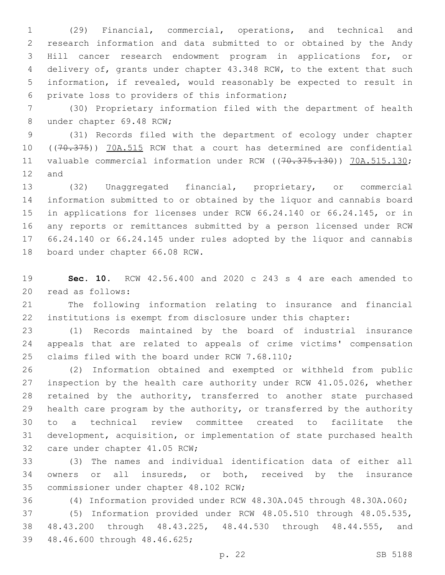(29) Financial, commercial, operations, and technical and research information and data submitted to or obtained by the Andy Hill cancer research endowment program in applications for, or delivery of, grants under chapter 43.348 RCW, to the extent that such information, if revealed, would reasonably be expected to result in 6 private loss to providers of this information;

 (30) Proprietary information filed with the department of health 8 under chapter 69.48 RCW;

 (31) Records filed with the department of ecology under chapter 10 ((70.375)) 70A.515 RCW that a court has determined are confidential 11 valuable commercial information under RCW ((70.375.130)) 70A.515.130; 12 and

 (32) Unaggregated financial, proprietary, or commercial information submitted to or obtained by the liquor and cannabis board in applications for licenses under RCW 66.24.140 or 66.24.145, or in any reports or remittances submitted by a person licensed under RCW 66.24.140 or 66.24.145 under rules adopted by the liquor and cannabis 18 board under chapter 66.08 RCW.

 **Sec. 10.** RCW 42.56.400 and 2020 c 243 s 4 are each amended to 20 read as follows:

 The following information relating to insurance and financial institutions is exempt from disclosure under this chapter:

 (1) Records maintained by the board of industrial insurance appeals that are related to appeals of crime victims' compensation 25 claims filed with the board under RCW 7.68.110;

 (2) Information obtained and exempted or withheld from public inspection by the health care authority under RCW 41.05.026, whether retained by the authority, transferred to another state purchased health care program by the authority, or transferred by the authority to a technical review committee created to facilitate the development, acquisition, or implementation of state purchased health 32 care under chapter 41.05 RCW;

 (3) The names and individual identification data of either all owners or all insureds, or both, received by the insurance 35 commissioner under chapter 48.102 RCW;

(4) Information provided under RCW 48.30A.045 through 48.30A.060;

 (5) Information provided under RCW 48.05.510 through 48.05.535, 48.43.200 through 48.43.225, 48.44.530 through 48.44.555, and 39 48.46.600 through 48.46.625;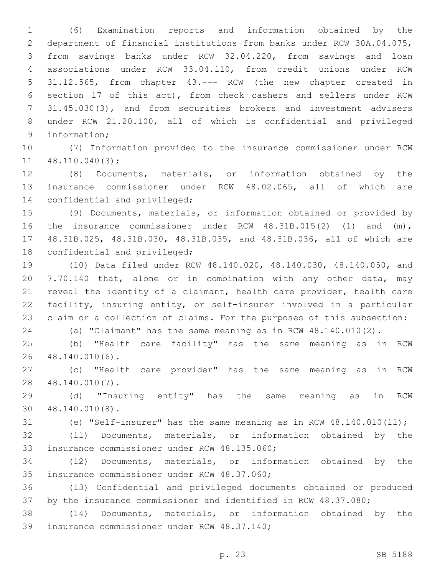(6) Examination reports and information obtained by the department of financial institutions from banks under RCW 30A.04.075, from savings banks under RCW 32.04.220, from savings and loan associations under RCW 33.04.110, from credit unions under RCW 31.12.565, from chapter 43.--- RCW (the new chapter created in section 17 of this act), from check cashers and sellers under RCW 31.45.030(3), and from securities brokers and investment advisers under RCW 21.20.100, all of which is confidential and privileged 9 information;

 (7) Information provided to the insurance commissioner under RCW  $11 \quad 48.110.040(3);$ 

 (8) Documents, materials, or information obtained by the insurance commissioner under RCW 48.02.065, all of which are 14 confidential and privileged;

 (9) Documents, materials, or information obtained or provided by the insurance commissioner under RCW 48.31B.015(2) (l) and (m), 48.31B.025, 48.31B.030, 48.31B.035, and 48.31B.036, all of which are 18 confidential and privileged;

 (10) Data filed under RCW 48.140.020, 48.140.030, 48.140.050, and 7.70.140 that, alone or in combination with any other data, may reveal the identity of a claimant, health care provider, health care facility, insuring entity, or self-insurer involved in a particular claim or a collection of claims. For the purposes of this subsection:

(a) "Claimant" has the same meaning as in RCW 48.140.010(2).

 (b) "Health care facility" has the same meaning as in RCW 48.140.010(6).26

 (c) "Health care provider" has the same meaning as in RCW 48.140.010(7).28

 (d) "Insuring entity" has the same meaning as in RCW 48.140.010(8).30

(e) "Self-insurer" has the same meaning as in RCW 48.140.010(11);

 (11) Documents, materials, or information obtained by the 33 insurance commissioner under RCW 48.135.060;

 (12) Documents, materials, or information obtained by the 35 insurance commissioner under RCW 48.37.060;

 (13) Confidential and privileged documents obtained or produced by the insurance commissioner and identified in RCW 48.37.080;

 (14) Documents, materials, or information obtained by the 39 insurance commissioner under RCW 48.37.140;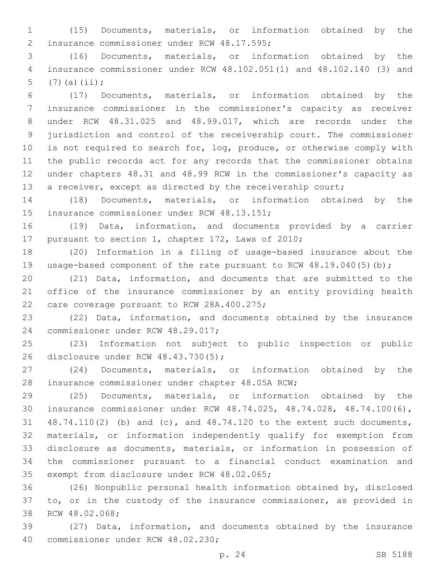(15) Documents, materials, or information obtained by the 2 insurance commissioner under RCW 48.17.595;

 (16) Documents, materials, or information obtained by the insurance commissioner under RCW 48.102.051(1) and 48.102.140 (3) and 5  $(7)(a)(ii);$ 

 (17) Documents, materials, or information obtained by the insurance commissioner in the commissioner's capacity as receiver under RCW 48.31.025 and 48.99.017, which are records under the jurisdiction and control of the receivership court. The commissioner is not required to search for, log, produce, or otherwise comply with the public records act for any records that the commissioner obtains under chapters 48.31 and 48.99 RCW in the commissioner's capacity as 13 a receiver, except as directed by the receivership court;

 (18) Documents, materials, or information obtained by the 15 insurance commissioner under RCW 48.13.151;

 (19) Data, information, and documents provided by a carrier 17 pursuant to section 1, chapter 172, Laws of 2010;

 (20) Information in a filing of usage-based insurance about the 19 usage-based component of the rate pursuant to RCW 48.19.040(5)(b);

 (21) Data, information, and documents that are submitted to the office of the insurance commissioner by an entity providing health 22 care coverage pursuant to RCW 28A.400.275;

 (22) Data, information, and documents obtained by the insurance 24 commissioner under RCW 48.29.017;

 (23) Information not subject to public inspection or public 26 disclosure under RCW 48.43.730(5);

 (24) Documents, materials, or information obtained by the 28 insurance commissioner under chapter 48.05A RCW;

 (25) Documents, materials, or information obtained by the insurance commissioner under RCW 48.74.025, 48.74.028, 48.74.100(6), 48.74.110(2) (b) and (c), and 48.74.120 to the extent such documents, materials, or information independently qualify for exemption from disclosure as documents, materials, or information in possession of the commissioner pursuant to a financial conduct examination and 35 exempt from disclosure under RCW 48.02.065;

 (26) Nonpublic personal health information obtained by, disclosed to, or in the custody of the insurance commissioner, as provided in 38 RCW 48.02.068;

 (27) Data, information, and documents obtained by the insurance 40 commissioner under RCW 48.02.230;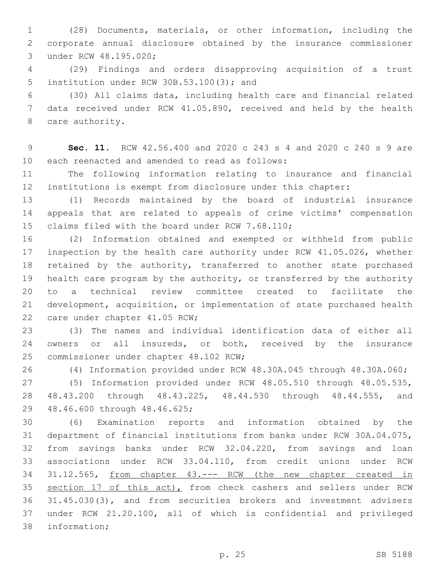(28) Documents, materials, or other information, including the corporate annual disclosure obtained by the insurance commissioner 3 under RCW 48.195.020;

 (29) Findings and orders disapproving acquisition of a trust 5 institution under RCW 30B.53.100(3); and

 (30) All claims data, including health care and financial related data received under RCW 41.05.890, received and held by the health 8 care authority.

 **Sec. 11.** RCW 42.56.400 and 2020 c 243 s 4 and 2020 c 240 s 9 are 10 each reenacted and amended to read as follows:

 The following information relating to insurance and financial institutions is exempt from disclosure under this chapter:

 (1) Records maintained by the board of industrial insurance appeals that are related to appeals of crime victims' compensation 15 claims filed with the board under RCW 7.68.110;

 (2) Information obtained and exempted or withheld from public inspection by the health care authority under RCW 41.05.026, whether 18 retained by the authority, transferred to another state purchased health care program by the authority, or transferred by the authority to a technical review committee created to facilitate the development, acquisition, or implementation of state purchased health 22 care under chapter 41.05 RCW;

 (3) The names and individual identification data of either all 24 owners or all insureds, or both, received by the insurance 25 commissioner under chapter 48.102 RCW;

(4) Information provided under RCW 48.30A.045 through 48.30A.060;

 (5) Information provided under RCW 48.05.510 through 48.05.535, 48.43.200 through 48.43.225, 48.44.530 through 48.44.555, and 29 48.46.600 through 48.46.625;

 (6) Examination reports and information obtained by the department of financial institutions from banks under RCW 30A.04.075, from savings banks under RCW 32.04.220, from savings and loan associations under RCW 33.04.110, from credit unions under RCW 31.12.565, from chapter 43.--- RCW (the new chapter created in 35 section 17 of this act), from check cashers and sellers under RCW 31.45.030(3), and from securities brokers and investment advisers under RCW 21.20.100, all of which is confidential and privileged 38 information;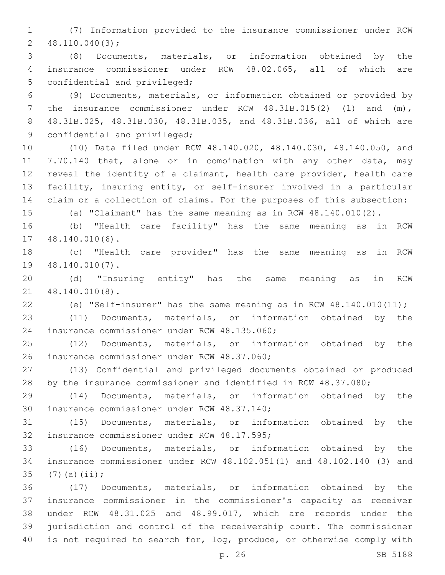(7) Information provided to the insurance commissioner under RCW  $2, 48.110.040(3);$ 

 (8) Documents, materials, or information obtained by the insurance commissioner under RCW 48.02.065, all of which are 5 confidential and privileged;

 (9) Documents, materials, or information obtained or provided by the insurance commissioner under RCW 48.31B.015(2) (l) and (m), 48.31B.025, 48.31B.030, 48.31B.035, and 48.31B.036, all of which are 9 confidential and privileged;

 (10) Data filed under RCW 48.140.020, 48.140.030, 48.140.050, and 7.70.140 that, alone or in combination with any other data, may reveal the identity of a claimant, health care provider, health care facility, insuring entity, or self-insurer involved in a particular claim or a collection of claims. For the purposes of this subsection:

(a) "Claimant" has the same meaning as in RCW 48.140.010(2).

 (b) "Health care facility" has the same meaning as in RCW 17 48.140.010(6).

 (c) "Health care provider" has the same meaning as in RCW 19 48.140.010(7).

 (d) "Insuring entity" has the same meaning as in RCW 48.140.010(8).21

(e) "Self-insurer" has the same meaning as in RCW 48.140.010(11);

 (11) Documents, materials, or information obtained by the 24 insurance commissioner under RCW 48.135.060;

 (12) Documents, materials, or information obtained by the 26 insurance commissioner under RCW 48.37.060;

 (13) Confidential and privileged documents obtained or produced by the insurance commissioner and identified in RCW 48.37.080;

 (14) Documents, materials, or information obtained by the 30 insurance commissioner under RCW 48.37.140;

 (15) Documents, materials, or information obtained by the 32 insurance commissioner under RCW 48.17.595;

 (16) Documents, materials, or information obtained by the insurance commissioner under RCW 48.102.051(1) and 48.102.140 (3) and 35  $(7)(a)(ii);$ 

 (17) Documents, materials, or information obtained by the insurance commissioner in the commissioner's capacity as receiver under RCW 48.31.025 and 48.99.017, which are records under the jurisdiction and control of the receivership court. The commissioner is not required to search for, log, produce, or otherwise comply with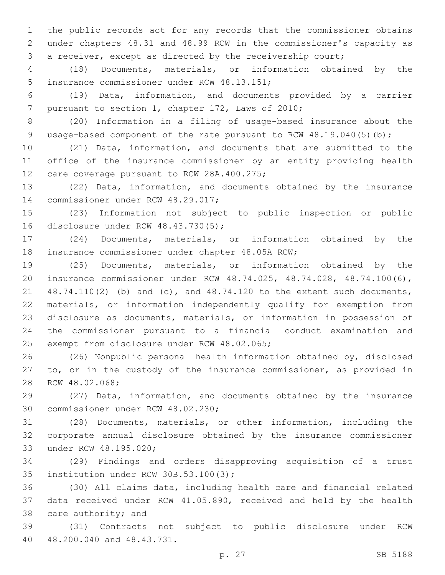the public records act for any records that the commissioner obtains under chapters 48.31 and 48.99 RCW in the commissioner's capacity as a receiver, except as directed by the receivership court;

 (18) Documents, materials, or information obtained by the 5 insurance commissioner under RCW 48.13.151;

 (19) Data, information, and documents provided by a carrier 7 pursuant to section 1, chapter 172, Laws of 2010;

 (20) Information in a filing of usage-based insurance about the 9 usage-based component of the rate pursuant to RCW 48.19.040(5)(b);

 (21) Data, information, and documents that are submitted to the office of the insurance commissioner by an entity providing health 12 care coverage pursuant to RCW 28A.400.275;

 (22) Data, information, and documents obtained by the insurance 14 commissioner under RCW 48.29.017;

 (23) Information not subject to public inspection or public 16 disclosure under RCW 48.43.730(5);

 (24) Documents, materials, or information obtained by the 18 insurance commissioner under chapter 48.05A RCW;

 (25) Documents, materials, or information obtained by the insurance commissioner under RCW 48.74.025, 48.74.028, 48.74.100(6), 48.74.110(2) (b) and (c), and 48.74.120 to the extent such documents, materials, or information independently qualify for exemption from disclosure as documents, materials, or information in possession of the commissioner pursuant to a financial conduct examination and 25 exempt from disclosure under RCW 48.02.065;

 (26) Nonpublic personal health information obtained by, disclosed to, or in the custody of the insurance commissioner, as provided in 28 RCW 48.02.068;

 (27) Data, information, and documents obtained by the insurance 30 commissioner under RCW 48.02.230;

 (28) Documents, materials, or other information, including the corporate annual disclosure obtained by the insurance commissioner 33 under RCW 48.195.020;

 (29) Findings and orders disapproving acquisition of a trust 35 institution under RCW 30B.53.100(3);

 (30) All claims data, including health care and financial related data received under RCW 41.05.890, received and held by the health 38 care authority; and

 (31) Contracts not subject to public disclosure under RCW 40 48.200.040 and 48.43.731.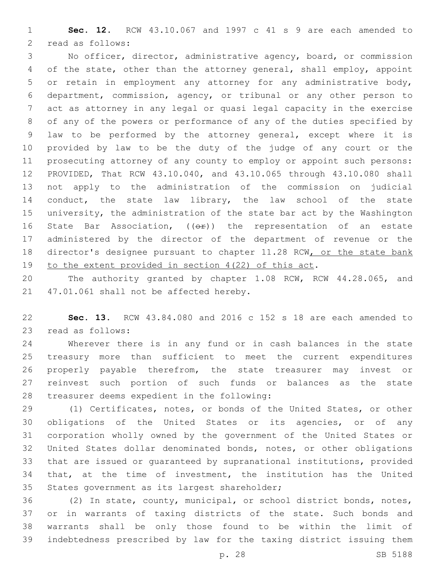**Sec. 12.** RCW 43.10.067 and 1997 c 41 s 9 are each amended to 2 read as follows:

 No officer, director, administrative agency, board, or commission of the state, other than the attorney general, shall employ, appoint or retain in employment any attorney for any administrative body, department, commission, agency, or tribunal or any other person to act as attorney in any legal or quasi legal capacity in the exercise of any of the powers or performance of any of the duties specified by law to be performed by the attorney general, except where it is provided by law to be the duty of the judge of any court or the prosecuting attorney of any county to employ or appoint such persons: PROVIDED, That RCW 43.10.040, and 43.10.065 through 43.10.080 shall not apply to the administration of the commission on judicial 14 conduct, the state law library, the law school of the state university, the administration of the state bar act by the Washington 16 State Bar Association,  $($   $($ o $\rightarrow$   $)$  the representation of an estate administered by the director of the department of revenue or the 18 director's designee pursuant to chapter 11.28 RCW, or the state bank to the extent provided in section 4(22) of this act.

 The authority granted by chapter 1.08 RCW, RCW 44.28.065, and 21 47.01.061 shall not be affected hereby.

 **Sec. 13.** RCW 43.84.080 and 2016 c 152 s 18 are each amended to 23 read as follows:

 Wherever there is in any fund or in cash balances in the state treasury more than sufficient to meet the current expenditures properly payable therefrom, the state treasurer may invest or reinvest such portion of such funds or balances as the state 28 treasurer deems expedient in the following:

 (1) Certificates, notes, or bonds of the United States, or other obligations of the United States or its agencies, or of any corporation wholly owned by the government of the United States or United States dollar denominated bonds, notes, or other obligations that are issued or guaranteed by supranational institutions, provided that, at the time of investment, the institution has the United 35 States government as its largest shareholder;

 (2) In state, county, municipal, or school district bonds, notes, or in warrants of taxing districts of the state. Such bonds and warrants shall be only those found to be within the limit of indebtedness prescribed by law for the taxing district issuing them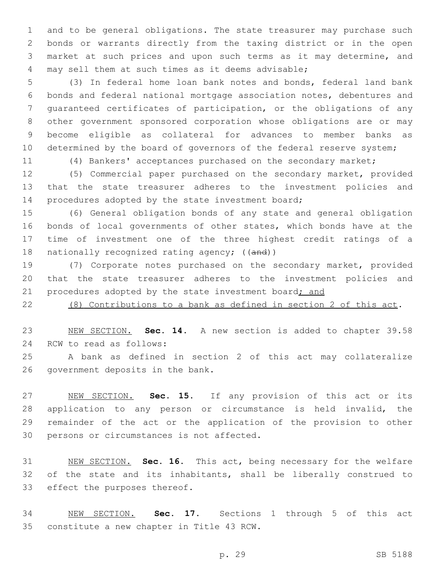and to be general obligations. The state treasurer may purchase such bonds or warrants directly from the taxing district or in the open market at such prices and upon such terms as it may determine, and 4 may sell them at such times as it deems advisable;

 (3) In federal home loan bank notes and bonds, federal land bank bonds and federal national mortgage association notes, debentures and guaranteed certificates of participation, or the obligations of any other government sponsored corporation whose obligations are or may become eligible as collateral for advances to member banks as 10 determined by the board of governors of the federal reserve system;

(4) Bankers' acceptances purchased on the secondary market;

 (5) Commercial paper purchased on the secondary market, provided that the state treasurer adheres to the investment policies and 14 procedures adopted by the state investment board;

 (6) General obligation bonds of any state and general obligation bonds of local governments of other states, which bonds have at the time of investment one of the three highest credit ratings of a 18 nationally recognized rating agency; ((and))

 (7) Corporate notes purchased on the secondary market, provided that the state treasurer adheres to the investment policies and 21 procedures adopted by the state investment board; and

(8) Contributions to a bank as defined in section 2 of this act.

 NEW SECTION. **Sec. 14.** A new section is added to chapter 39.58 24 RCW to read as follows:

 A bank as defined in section 2 of this act may collateralize 26 government deposits in the bank.

 NEW SECTION. **Sec. 15.** If any provision of this act or its application to any person or circumstance is held invalid, the remainder of the act or the application of the provision to other persons or circumstances is not affected.

 NEW SECTION. **Sec. 16.** This act, being necessary for the welfare 32 of the state and its inhabitants, shall be liberally construed to effect the purposes thereof.

 NEW SECTION. **Sec. 17.** Sections 1 through 5 of this act constitute a new chapter in Title 43 RCW.